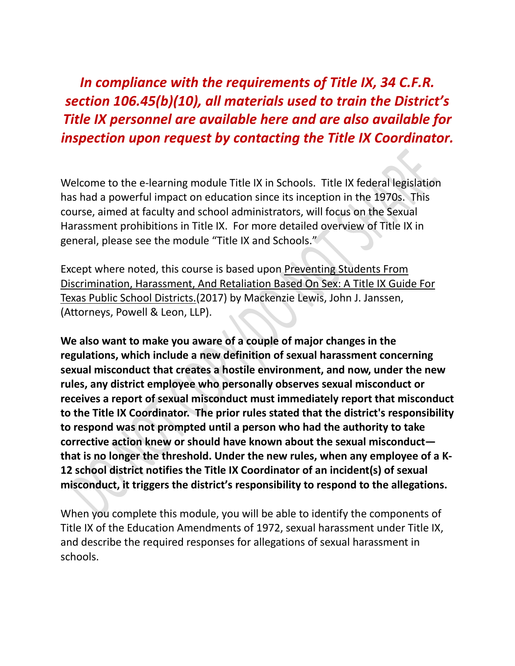*In compliance with the requirements of Title IX, 34 C.F.R. section 106.45(b)(10), all materials used to train the District's Title IX personnel are available here and are also available for inspection upon request by contacting the Title IX Coordinator.*

Welcome to the e-learning module Title IX in Schools. Title IX federal legislation has had a powerful impact on education since its inception in the 1970s. This course, aimed at faculty and school administrators, will focus on the Sexual Harassment prohibitions in Title IX. For more detailed overview of Title IX in general, please see the module "Title IX and Schools."

Except where noted, this course is based upon Preventing Students From Discrimination, Harassment, And Retaliation Based On Sex: A Title IX Guide For Texas Public School Districts.(2017) by Mackenzie Lewis, John J. Janssen, (Attorneys, Powell & Leon, LLP).

**We also want to make you aware of a couple of major changes in the regulations, which include a new definition of sexual harassment concerning sexual misconduct that creates a hostile environment, and now, under the new rules, any district employee who personally observes sexual misconduct or receives a report of sexual misconduct must immediately report that misconduct to the Title IX Coordinator. The prior rules stated that the district's responsibility to respond was not prompted until a person who had the authority to take corrective action knew or should have known about the sexual misconduct that is no longer the threshold. Under the new rules, when any employee of a K-12 school district notifies the Title IX Coordinator of an incident(s) of sexual misconduct, it triggers the district's responsibility to respond to the allegations.** 

When you complete this module, you will be able to identify the components of Title IX of the Education Amendments of 1972, sexual harassment under Title IX, and describe the required responses for allegations of sexual harassment in schools.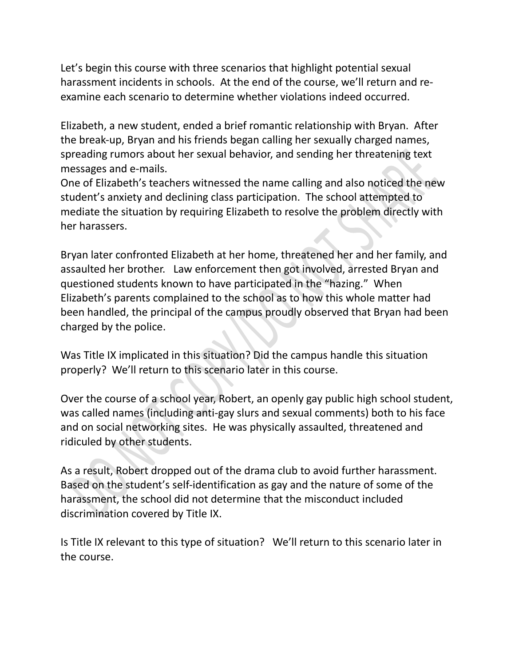Let's begin this course with three scenarios that highlight potential sexual harassment incidents in schools. At the end of the course, we'll return and reexamine each scenario to determine whether violations indeed occurred.

Elizabeth, a new student, ended a brief romantic relationship with Bryan. After the break-up, Bryan and his friends began calling her sexually charged names, spreading rumors about her sexual behavior, and sending her threatening text messages and e-mails.

One of Elizabeth's teachers witnessed the name calling and also noticed the new student's anxiety and declining class participation. The school attempted to mediate the situation by requiring Elizabeth to resolve the problem directly with her harassers.

Bryan later confronted Elizabeth at her home, threatened her and her family, and assaulted her brother. Law enforcement then got involved, arrested Bryan and questioned students known to have participated in the "hazing." When Elizabeth's parents complained to the school as to how this whole matter had been handled, the principal of the campus proudly observed that Bryan had been charged by the police.

Was Title IX implicated in this situation? Did the campus handle this situation properly? We'll return to this scenario later in this course.

Over the course of a school year, Robert, an openly gay public high school student, was called names (including anti-gay slurs and sexual comments) both to his face and on social networking sites. He was physically assaulted, threatened and ridiculed by other students.

As a result, Robert dropped out of the drama club to avoid further harassment. Based on the student's self-identification as gay and the nature of some of the harassment, the school did not determine that the misconduct included discrimination covered by Title IX.

Is Title IX relevant to this type of situation? We'll return to this scenario later in the course.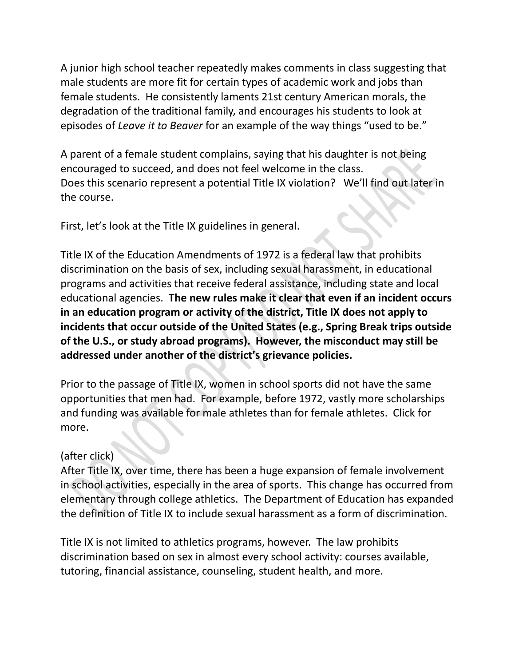A junior high school teacher repeatedly makes comments in class suggesting that male students are more fit for certain types of academic work and jobs than female students. He consistently laments 21st century American morals, the degradation of the traditional family, and encourages his students to look at episodes of *Leave it to Beaver* for an example of the way things "used to be."

A parent of a female student complains, saying that his daughter is not being encouraged to succeed, and does not feel welcome in the class. Does this scenario represent a potential Title IX violation? We'll find out later in the course.

First, let's look at the Title IX guidelines in general.

Title IX of the Education Amendments of 1972 is a federal law that prohibits discrimination on the basis of sex, including sexual harassment, in educational programs and activities that receive federal assistance, including state and local educational agencies. **The new rules make it clear that even if an incident occurs in an education program or activity of the district, Title IX does not apply to incidents that occur outside of the United States (e.g., Spring Break trips outside of the U.S., or study abroad programs). However, the misconduct may still be addressed under another of the district's grievance policies.** 

Prior to the passage of Title IX, women in school sports did not have the same opportunities that men had. For example, before 1972, vastly more scholarships and funding was available for male athletes than for female athletes. Click for more.

# (after click)

After Title IX, over time, there has been a huge expansion of female involvement in school activities, especially in the area of sports. This change has occurred from elementary through college athletics. The Department of Education has expanded the definition of Title IX to include sexual harassment as a form of discrimination.

Title IX is not limited to athletics programs, however. The law prohibits discrimination based on sex in almost every school activity: courses available, tutoring, financial assistance, counseling, student health, and more.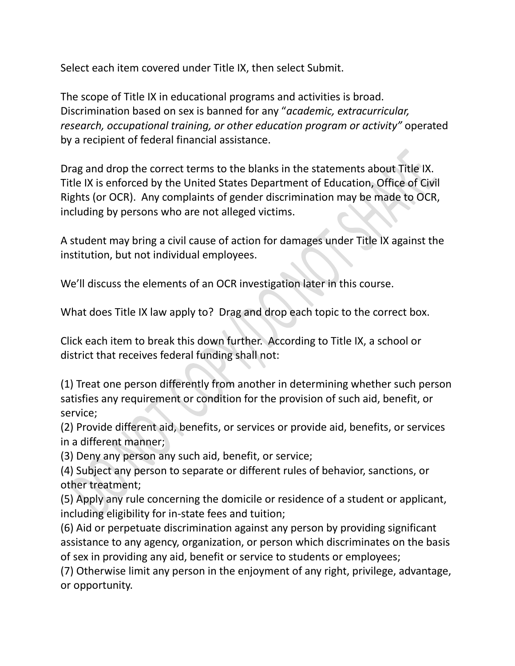Select each item covered under Title IX, then select Submit.

The scope of Title IX in educational programs and activities is broad. Discrimination based on sex is banned for any "*academic, extracurricular, research, occupational training, or other education program or activity"* operated by a recipient of federal financial assistance.

Drag and drop the correct terms to the blanks in the statements about Title IX. Title IX is enforced by the United States Department of Education, Office of Civil Rights (or OCR). Any complaints of gender discrimination may be made to OCR, including by persons who are not alleged victims.

A student may bring a civil cause of action for damages under Title IX against the institution, but not individual employees.

We'll discuss the elements of an OCR investigation later in this course.

What does Title IX law apply to? Drag and drop each topic to the correct box.

Click each item to break this down further. According to Title IX, a school or district that receives federal funding shall not:

(1) Treat one person differently from another in determining whether such person satisfies any requirement or condition for the provision of such aid, benefit, or service;

(2) Provide different aid, benefits, or services or provide aid, benefits, or services in a different manner;

(3) Deny any person any such aid, benefit, or service;

(4) Subject any person to separate or different rules of behavior, sanctions, or other treatment;

(5) Apply any rule concerning the domicile or residence of a student or applicant, including eligibility for in-state fees and tuition;

(6) Aid or perpetuate discrimination against any person by providing significant assistance to any agency, organization, or person which discriminates on the basis of sex in providing any aid, benefit or service to students or employees;

(7) Otherwise limit any person in the enjoyment of any right, privilege, advantage, or opportunity.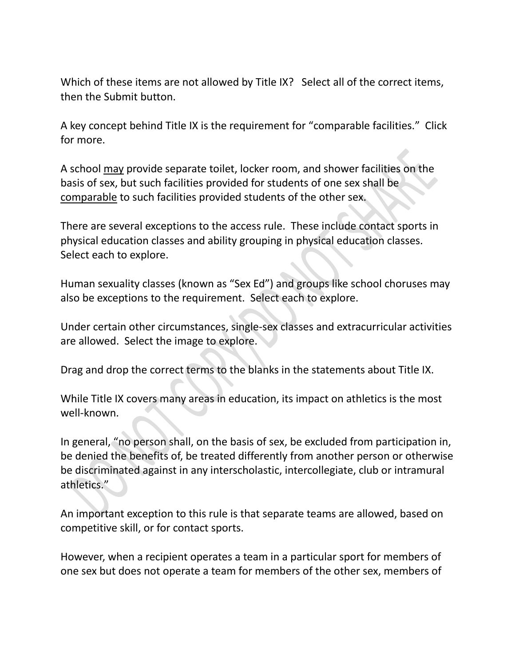Which of these items are not allowed by Title IX? Select all of the correct items, then the Submit button.

A key concept behind Title IX is the requirement for "comparable facilities." Click for more.

A school may provide separate toilet, locker room, and shower facilities on the basis of sex, but such facilities provided for students of one sex shall be comparable to such facilities provided students of the other sex.

There are several exceptions to the access rule. These include contact sports in physical education classes and ability grouping in physical education classes. Select each to explore.

Human sexuality classes (known as "Sex Ed") and groups like school choruses may also be exceptions to the requirement. Select each to explore.

Under certain other circumstances, single-sex classes and extracurricular activities are allowed. Select the image to explore.

Drag and drop the correct terms to the blanks in the statements about Title IX.

While Title IX covers many areas in education, its impact on athletics is the most well-known.

In general, "no person shall, on the basis of sex, be excluded from participation in, be denied the benefits of, be treated differently from another person or otherwise be discriminated against in any interscholastic, intercollegiate, club or intramural athletics."

An important exception to this rule is that separate teams are allowed, based on competitive skill, or for contact sports.

However, when a recipient operates a team in a particular sport for members of one sex but does not operate a team for members of the other sex, members of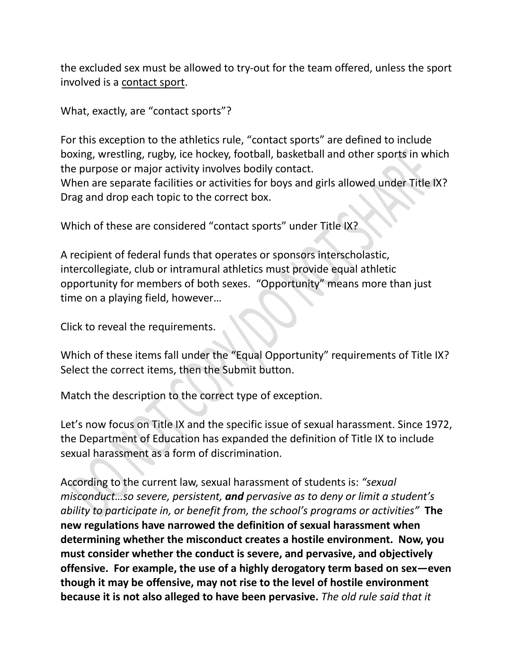the excluded sex must be allowed to try-out for the team offered, unless the sport involved is a contact sport.

What, exactly, are "contact sports"?

For this exception to the athletics rule, "contact sports" are defined to include boxing, wrestling, rugby, ice hockey, football, basketball and other sports in which the purpose or major activity involves bodily contact. When are separate facilities or activities for boys and girls allowed under Title IX? Drag and drop each topic to the correct box.

Which of these are considered "contact sports" under Title IX?

A recipient of federal funds that operates or sponsors interscholastic, intercollegiate, club or intramural athletics must provide equal athletic opportunity for members of both sexes. "Opportunity" means more than just time on a playing field, however…

Click to reveal the requirements.

Which of these items fall under the "Equal Opportunity" requirements of Title IX? Select the correct items, then the Submit button.

Match the description to the correct type of exception.

Let's now focus on Title IX and the specific issue of sexual harassment. Since 1972, the Department of Education has expanded the definition of Title IX to include sexual harassment as a form of discrimination.

According to the current law, sexual harassment of students is: *"sexual misconduct…so severe, persistent, and pervasive as to deny or limit a student's ability to participate in, or benefit from, the school's programs or activities"* **The new regulations have narrowed the definition of sexual harassment when determining whether the misconduct creates a hostile environment. Now, you must consider whether the conduct is severe, and pervasive, and objectively offensive. For example, the use of a highly derogatory term based on sex—even though it may be offensive, may not rise to the level of hostile environment because it is not also alleged to have been pervasive.** *The old rule said that it*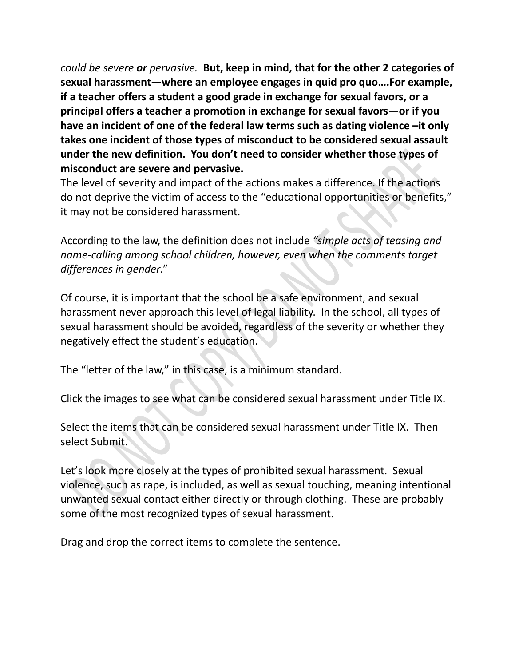*could be severe or pervasive.* **But, keep in mind, that for the other 2 categories of sexual harassment—where an employee engages in quid pro quo….For example, if a teacher offers a student a good grade in exchange for sexual favors, or a principal offers a teacher a promotion in exchange for sexual favors—or if you have an incident of one of the federal law terms such as dating violence –it only takes one incident of those types of misconduct to be considered sexual assault under the new definition. You don't need to consider whether those types of misconduct are severe and pervasive.**

The level of severity and impact of the actions makes a difference. If the actions do not deprive the victim of access to the "educational opportunities or benefits," it may not be considered harassment.

According to the law, the definition does not include *"simple acts of teasing and name-calling among school children, however, even when the comments target differences in gender*."

Of course, it is important that the school be a safe environment, and sexual harassment never approach this level of legal liability. In the school, all types of sexual harassment should be avoided, regardless of the severity or whether they negatively effect the student's education.

The "letter of the law," in this case, is a minimum standard.

Click the images to see what can be considered sexual harassment under Title IX.

Select the items that can be considered sexual harassment under Title IX. Then select Submit.

Let's look more closely at the types of prohibited sexual harassment. Sexual violence, such as rape, is included, as well as sexual touching, meaning intentional unwanted sexual contact either directly or through clothing. These are probably some of the most recognized types of sexual harassment.

Drag and drop the correct items to complete the sentence.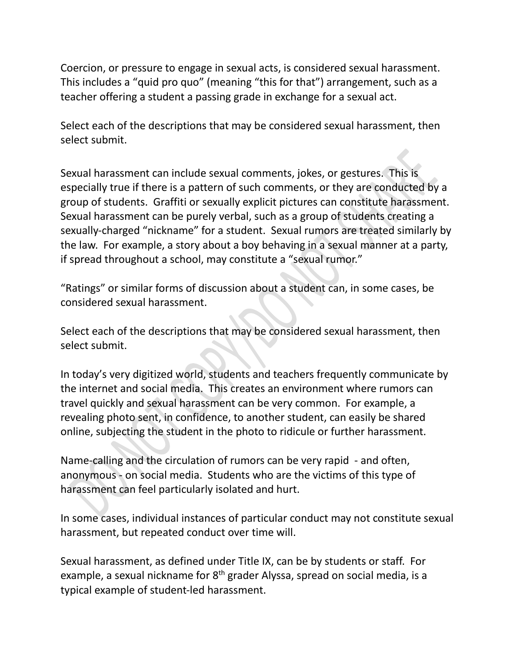Coercion, or pressure to engage in sexual acts, is considered sexual harassment. This includes a "quid pro quo" (meaning "this for that") arrangement, such as a teacher offering a student a passing grade in exchange for a sexual act.

Select each of the descriptions that may be considered sexual harassment, then select submit.

Sexual harassment can include sexual comments, jokes, or gestures. This is especially true if there is a pattern of such comments, or they are conducted by a group of students. Graffiti or sexually explicit pictures can constitute harassment. Sexual harassment can be purely verbal, such as a group of students creating a sexually-charged "nickname" for a student. Sexual rumors are treated similarly by the law. For example, a story about a boy behaving in a sexual manner at a party, if spread throughout a school, may constitute a "sexual rumor."

"Ratings" or similar forms of discussion about a student can, in some cases, be considered sexual harassment.

Select each of the descriptions that may be considered sexual harassment, then select submit.

In today's very digitized world, students and teachers frequently communicate by the internet and social media. This creates an environment where rumors can travel quickly and sexual harassment can be very common. For example, a revealing photo sent, in confidence, to another student, can easily be shared online, subjecting the student in the photo to ridicule or further harassment.

Name-calling and the circulation of rumors can be very rapid - and often, anonymous - on social media. Students who are the victims of this type of harassment can feel particularly isolated and hurt.

In some cases, individual instances of particular conduct may not constitute sexual harassment, but repeated conduct over time will.

Sexual harassment, as defined under Title IX, can be by students or staff. For example, a sexual nickname for 8<sup>th</sup> grader Alyssa, spread on social media, is a typical example of student-led harassment.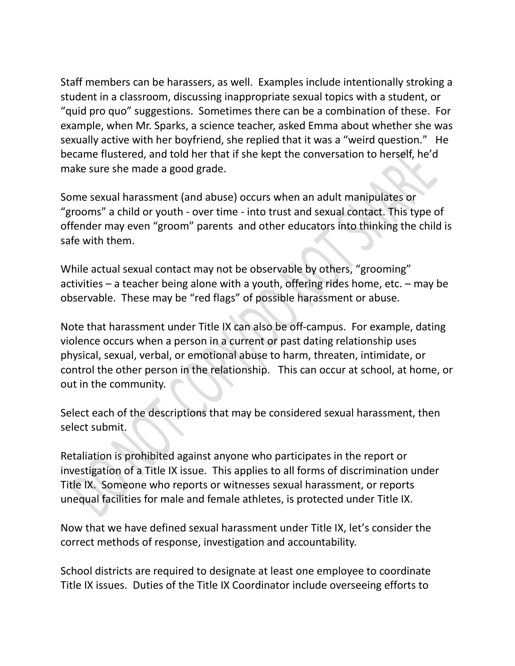Staff members can be harassers, as well. Examples include intentionally stroking a student in a classroom, discussing inappropriate sexual topics with a student, or "quid pro quo" suggestions. Sometimes there can be a combination of these. For example, when Mr. Sparks, a science teacher, asked Emma about whether she was sexually active with her boyfriend, she replied that it was a "weird question." He became flustered, and told her that if she kept the conversation to herself, he'd make sure she made a good grade.

Some sexual harassment (and abuse) occurs when an adult manipulates or "grooms" a child or youth - over time - into trust and sexual contact. This type of offender may even "groom" parents and other educators into thinking the child is safe with them.

While actual sexual contact may not be observable by others, "grooming" activities – a teacher being alone with a youth, offering rides home, etc. – may be observable. These may be "red flags" of possible harassment or abuse.

Note that harassment under Title IX can also be off-campus. For example, dating violence occurs when a person in a current or past dating relationship uses physical, sexual, verbal, or emotional abuse to harm, threaten, intimidate, or control the other person in the relationship. This can occur at school, at home, or out in the community.

Select each of the descriptions that may be considered sexual harassment, then select submit.

Retaliation is prohibited against anyone who participates in the report or investigation of a Title IX issue. This applies to all forms of discrimination under Title IX. Someone who reports or witnesses sexual harassment, or reports unequal facilities for male and female athletes, is protected under Title IX.

Now that we have defined sexual harassment under Title IX, let's consider the correct methods of response, investigation and accountability.

School districts are required to designate at least one employee to coordinate Title IX issues. Duties of the Title IX Coordinator include overseeing efforts to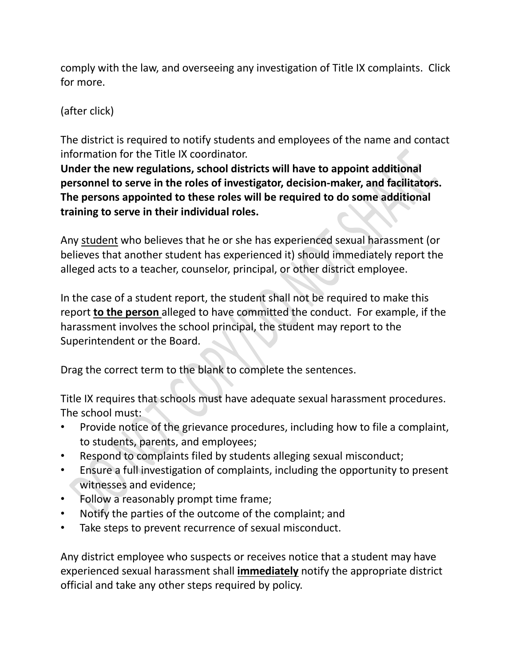comply with the law, and overseeing any investigation of Title IX complaints. Click for more.

(after click)

The district is required to notify students and employees of the name and contact information for the Title IX coordinator.

**Under the new regulations, school districts will have to appoint additional personnel to serve in the roles of investigator, decision-maker, and facilitators. The persons appointed to these roles will be required to do some additional training to serve in their individual roles.** 

Any student who believes that he or she has experienced sexual harassment (or believes that another student has experienced it) should immediately report the alleged acts to a teacher, counselor, principal, or other district employee.

In the case of a student report, the student shall not be required to make this report **to the person** alleged to have committed the conduct. For example, if the harassment involves the school principal, the student may report to the Superintendent or the Board.

Drag the correct term to the blank to complete the sentences.

Title IX requires that schools must have adequate sexual harassment procedures. The school must:

- Provide notice of the grievance procedures, including how to file a complaint, to students, parents, and employees;
- Respond to complaints filed by students alleging sexual misconduct;
- Ensure a full investigation of complaints, including the opportunity to present witnesses and evidence;
- Follow a reasonably prompt time frame;
- Notify the parties of the outcome of the complaint; and
- Take steps to prevent recurrence of sexual misconduct.

Any district employee who suspects or receives notice that a student may have experienced sexual harassment shall **immediately** notify the appropriate district official and take any other steps required by policy.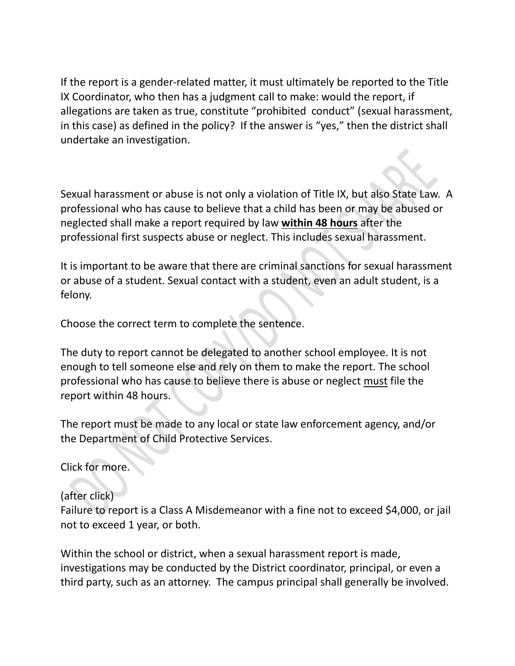If the report is a gender-related matter, it must ultimately be reported to the Title IX Coordinator, who then has a judgment call to make: would the report, if allegations are taken as true, constitute "prohibited conduct" (sexual harassment, in this case) as defined in the policy? If the answer is "yes," then the district shall undertake an investigation.

Sexual harassment or abuse is not only a violation of Title IX, but also State Law. A professional who has cause to believe that a child has been or may be abused or neglected shall make a report required by law **within 48 hours** after the professional first suspects abuse or neglect. This includes sexual harassment.

It is important to be aware that there are criminal sanctions for sexual harassment or abuse of a student. Sexual contact with a student, even an adult student, is a felony.

Choose the correct term to complete the sentence.

The duty to report cannot be delegated to another school employee. It is not enough to tell someone else and rely on them to make the report. The school professional who has cause to believe there is abuse or neglect must file the report within 48 hours.

The report must be made to any local or state law enforcement agency, and/or the Department of Child Protective Services.

Click for more.

### (after click)

Failure to report is a Class A Misdemeanor with a fine not to exceed \$4,000, or jail not to exceed 1 year, or both.

Within the school or district, when a sexual harassment report is made, investigations may be conducted by the District coordinator, principal, or even a third party, such as an attorney. The campus principal shall generally be involved.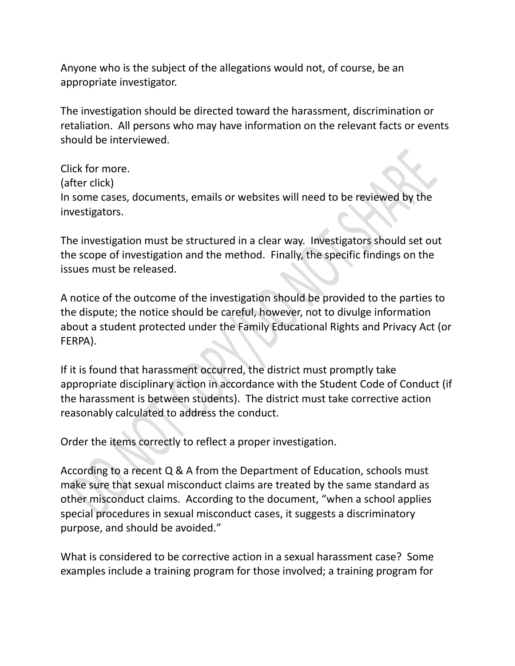Anyone who is the subject of the allegations would not, of course, be an appropriate investigator.

The investigation should be directed toward the harassment, discrimination or retaliation. All persons who may have information on the relevant facts or events should be interviewed.

Click for more. (after click) In some cases, documents, emails or websites will need to be reviewed by the investigators.

The investigation must be structured in a clear way. Investigators should set out the scope of investigation and the method. Finally, the specific findings on the issues must be released.

A notice of the outcome of the investigation should be provided to the parties to the dispute; the notice should be careful, however, not to divulge information about a student protected under the Family Educational Rights and Privacy Act (or FERPA).

If it is found that harassment occurred, the district must promptly take appropriate disciplinary action in accordance with the Student Code of Conduct (if the harassment is between students). The district must take corrective action reasonably calculated to address the conduct.

Order the items correctly to reflect a proper investigation.

According to a recent Q & A from the Department of Education, schools must make sure that sexual misconduct claims are treated by the same standard as other misconduct claims. According to the document, "when a school applies special procedures in sexual misconduct cases, it suggests a discriminatory purpose, and should be avoided."

What is considered to be corrective action in a sexual harassment case? Some examples include a training program for those involved; a training program for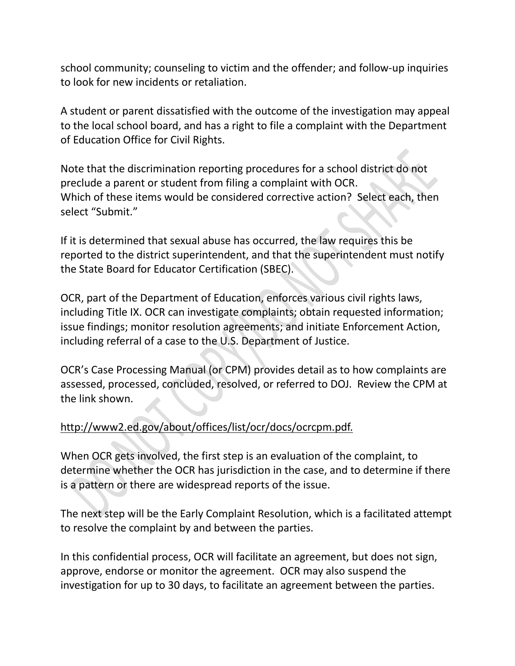school community; counseling to victim and the offender; and follow-up inquiries to look for new incidents or retaliation.

A student or parent dissatisfied with the outcome of the investigation may appeal to the local school board, and has a right to file a complaint with the Department of Education Office for Civil Rights.

Note that the discrimination reporting procedures for a school district do not preclude a parent or student from filing a complaint with OCR. Which of these items would be considered corrective action? Select each, then select "Submit."

If it is determined that sexual abuse has occurred, the law requires this be reported to the district superintendent, and that the superintendent must notify the State Board for Educator Certification (SBEC).

OCR, part of the Department of Education, enforces various civil rights laws, including Title IX. OCR can investigate complaints; obtain requested information; issue findings; monitor resolution agreements; and initiate Enforcement Action, including referral of a case to the U.S. Department of Justice.

OCR's Case Processing Manual (or CPM) provides detail as to how complaints are assessed, processed, concluded, resolved, or referred to DOJ. Review the CPM at the link shown.

### [http://www2.ed.gov/about/offices/list/ocr/docs/ocrcpm.pdf.](http://www2.ed.gov/about/offices/list/ocr/docs/ocrcpm.pdf)

When OCR gets involved, the first step is an evaluation of the complaint, to determine whether the OCR has jurisdiction in the case, and to determine if there is a pattern or there are widespread reports of the issue.

The next step will be the Early Complaint Resolution, which is a facilitated attempt to resolve the complaint by and between the parties.

In this confidential process, OCR will facilitate an agreement, but does not sign, approve, endorse or monitor the agreement. OCR may also suspend the investigation for up to 30 days, to facilitate an agreement between the parties.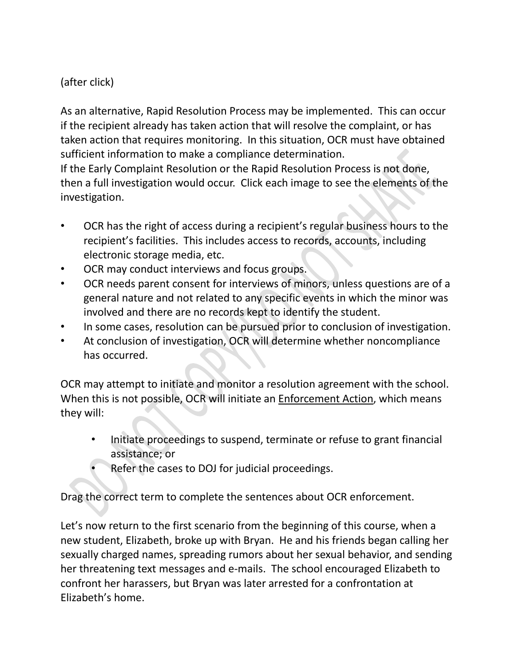# (after click)

As an alternative, Rapid Resolution Process may be implemented. This can occur if the recipient already has taken action that will resolve the complaint, or has taken action that requires monitoring. In this situation, OCR must have obtained sufficient information to make a compliance determination.

If the Early Complaint Resolution or the Rapid Resolution Process is not done, then a full investigation would occur. Click each image to see the elements of the investigation.

- OCR has the right of access during a recipient's regular business hours to the recipient's facilities. This includes access to records, accounts, including electronic storage media, etc.
- OCR may conduct interviews and focus groups.
- OCR needs parent consent for interviews of minors, unless questions are of a general nature and not related to any specific events in which the minor was involved and there are no records kept to identify the student.
- In some cases, resolution can be pursued prior to conclusion of investigation.
- At conclusion of investigation, OCR will determine whether noncompliance has occurred.

OCR may attempt to initiate and monitor a resolution agreement with the school. When this is not possible, OCR will initiate an Enforcement Action, which means they will:

- Initiate proceedings to suspend, terminate or refuse to grant financial assistance; or
- Refer the cases to DOJ for judicial proceedings.

Drag the correct term to complete the sentences about OCR enforcement.

Let's now return to the first scenario from the beginning of this course, when a new student, Elizabeth, broke up with Bryan. He and his friends began calling her sexually charged names, spreading rumors about her sexual behavior, and sending her threatening text messages and e-mails. The school encouraged Elizabeth to confront her harassers, but Bryan was later arrested for a confrontation at Elizabeth's home.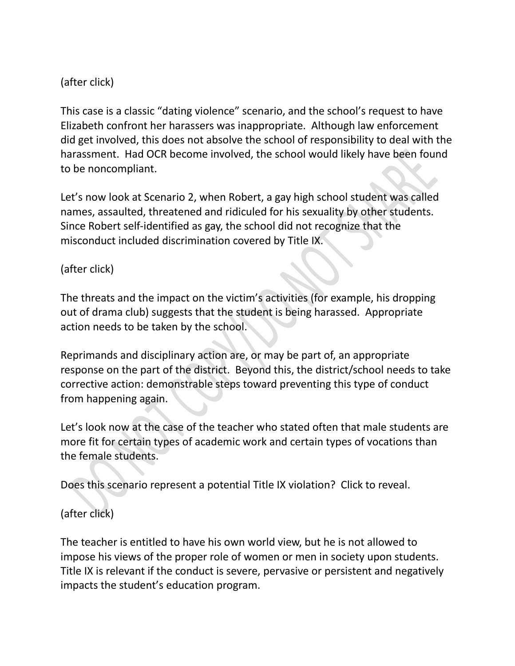# (after click)

This case is a classic "dating violence" scenario, and the school's request to have Elizabeth confront her harassers was inappropriate. Although law enforcement did get involved, this does not absolve the school of responsibility to deal with the harassment. Had OCR become involved, the school would likely have been found to be noncompliant.

Let's now look at Scenario 2, when Robert, a gay high school student was called names, assaulted, threatened and ridiculed for his sexuality by other students. Since Robert self-identified as gay, the school did not recognize that the misconduct included discrimination covered by Title IX.

# (after click)

The threats and the impact on the victim's activities (for example, his dropping out of drama club) suggests that the student is being harassed. Appropriate action needs to be taken by the school.

Reprimands and disciplinary action are, or may be part of, an appropriate response on the part of the district. Beyond this, the district/school needs to take corrective action: demonstrable steps toward preventing this type of conduct from happening again.

Let's look now at the case of the teacher who stated often that male students are more fit for certain types of academic work and certain types of vocations than the female students.

Does this scenario represent a potential Title IX violation? Click to reveal.

# (after click)

The teacher is entitled to have his own world view, but he is not allowed to impose his views of the proper role of women or men in society upon students. Title IX is relevant if the conduct is severe, pervasive or persistent and negatively impacts the student's education program.